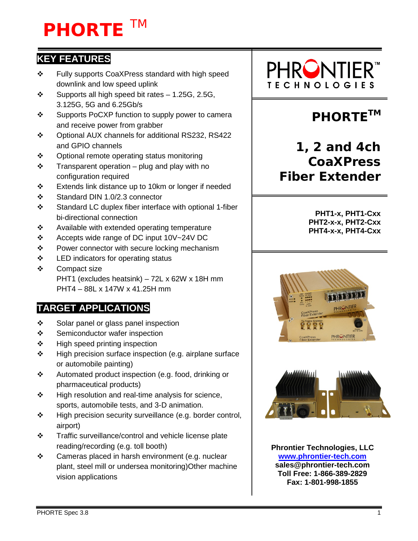# **PHORTE** TM

### **KEY FEATURES**

- Fully supports CoaXPress standard with high speed downlink and low speed uplink
- $\div$  Supports all high speed bit rates 1.25G, 2.5G, 3.125G, 5G and 6.25Gb/s
- ❖ Supports PoCXP function to supply power to camera and receive power from grabber
- Optional AUX channels for additional RS232, RS422 and GPIO channels
- ❖ Optional remote operating status monitoring
- $\div$  Transparent operation plug and play with no configuration required
- Extends link distance up to 10km or longer if needed
- Standard DIN 1.0/2.3 connector
- Standard LC duplex fiber interface with optional 1-fiber bi-directional connection
- $\div$  Available with extended operating temperature
- ❖ Accepts wide range of DC input 10V~24V DC
- $\div$  Power connector with secure locking mechanism
- $\div$  LED indicators for operating status
- ❖ Compact size PHT1 (excludes heatsink) – 72L x 62W x 18H mm PHT4 – 88L x 147W x 41.25H mm

### **TARGET APPLICATIONS**

- Solar panel or glass panel inspection
- ❖ Semiconductor wafer inspection
- $\div$  High speed printing inspection
- $\div$  High precision surface inspection (e.g. airplane surface or automobile painting)
- Automated product inspection (e.g. food, drinking or pharmaceutical products)
- $\div$  High resolution and real-time analysis for science, sports, automobile tests, and 3-D animation.
- $\div$  High precision security surveillance (e.g. border control, airport)
- Traffic surveillance/control and vehicle license plate reading/recording (e.g. toll booth)
- $\div$  Cameras placed in harsh environment (e.g. nuclear plant, steel mill or undersea monitoring)Other machine vision applications



# **PHORTE™**

### **1, 2 and 4ch CoaXPress Fiber Extender**

**PHT1-x, PHT1-Cxx PHT2-x-x, PHT2-Cxx PHT4-x-x, PHT4-Cxx**





**Phrontier Technologies, LLC [www.phrontier-tech.com](http://www.phrontier-tech.com/) sales@phrontier-tech.com Toll Free: 1-866-389-2829 Fax: 1-801-998-1855**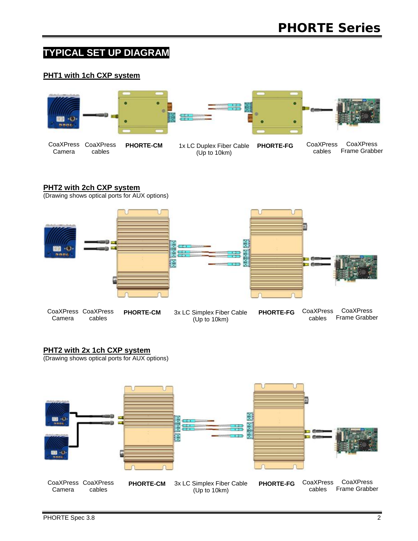### **TYPICAL SET UP DIAGRAM**

#### **PHT1 with 1ch CXP system**



#### **PHT2 with 2ch CXP system**

(Drawing shows optical ports for AUX options)



CoaXPress Camera cables

- 
- CoaXPress **PHORTE-CM** 3x LC Simplex Fiber Cable PHORTE-FG (Up to 10km)

CoaXPress Frame Grabber CoaXPress cables

#### **PHT2 with 2x 1ch CXP system**

(Drawing shows optical ports for AUX options)

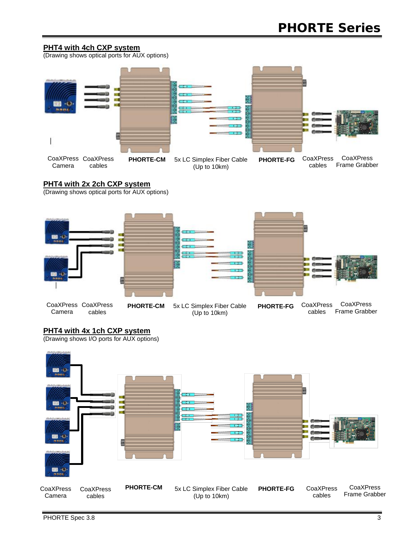#### **PHT4 with 4ch CXP system**

(Drawing shows optical ports for AUX options)



#### **PHT4 with 2x 2ch CXP system**

(Drawing shows optical ports for AUX options)



#### **PHT4 with 4x 1ch CXP system**

(Drawing shows I/O ports for AUX options)

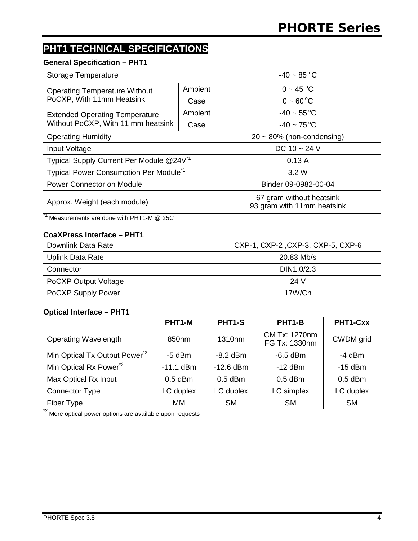### **PHT1 TECHNICAL SPECIFICATIONS**

#### **General Specification – PHT1**

| Storage Temperature                                  |         | $-40 \sim 85 \degree C$                                |  |
|------------------------------------------------------|---------|--------------------------------------------------------|--|
| <b>Operating Temperature Without</b>                 | Ambient | $0 - 45 °C$                                            |  |
| PoCXP, With 11mm Heatsink                            | Case    | $0 - 60^{\circ}C$                                      |  |
| <b>Extended Operating Temperature</b>                | Ambient | $-40 \sim 55^{\circ}C$                                 |  |
| Without PoCXP, With 11 mm heatsink                   | Case    | $-40 \sim 75^{\circ}C$                                 |  |
| <b>Operating Humidity</b>                            |         | $20 \sim 80\%$ (non-condensing)                        |  |
| Input Voltage                                        |         | DC $10 - 24$ V                                         |  |
| Typical Supply Current Per Module @24V <sup>*1</sup> |         | 0.13A                                                  |  |
| Typical Power Consumption Per Module <sup>*1</sup>   |         | 3.2W                                                   |  |
| Power Connector on Module                            |         | Binder 09-0982-00-04                                   |  |
| Approx. Weight (each module)                         |         | 67 gram without heatsink<br>93 gram with 11mm heatsink |  |

 $^1$  Measurements are done with PHT1-M @ 25C

#### **CoaXPress Interface – PHT1**

| Downlink Data Rate          | CXP-1, CXP-2, CXP-3, CXP-5, CXP-6 |
|-----------------------------|-----------------------------------|
| Uplink Data Rate            | $20.83$ Mb/s                      |
| Connector                   | DIN1.0/2.3                        |
| <b>PoCXP Output Voltage</b> | 24 V                              |
| <b>PoCXP Supply Power</b>   | 17W/Ch                            |

#### **Optical Interface – PHT1**

|                                           | PHT1-M      | PHT1-S      | PHT1-B                         | PHT1-Cxx  |
|-------------------------------------------|-------------|-------------|--------------------------------|-----------|
| <b>Operating Wavelength</b>               | 850nm       | 1310nm      | CM Tx: 1270nm<br>FG Tx: 1330nm | CWDM grid |
| Min Optical Tx Output Power <sup>*2</sup> | $-5$ dBm    | $-8.2$ dBm  | $-6.5$ dBm                     | $-4$ dBm  |
| Min Optical Rx Power <sup>*2</sup>        | $-11.1$ dBm | $-12.6$ dBm | $-12$ dBm                      | $-15$ dBm |
| Max Optical Rx Input                      | $0.5$ dBm   | $0.5$ dBm   | $0.5$ dBm                      | $0.5$ dBm |
| <b>Connector Type</b>                     | LC duplex   | LC duplex   | LC simplex                     | LC duplex |
| Fiber Type                                | <b>MM</b>   | <b>SM</b>   | <b>SM</b>                      | <b>SM</b> |

<sup>\*2</sup> More optical power options are available upon requests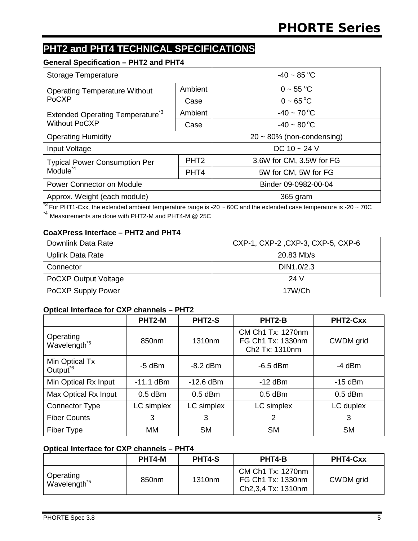### **PHT2 and PHT4 TECHNICAL SPECIFICATIONS**

#### **General Specification – PHT2 and PHT4**

| <b>Storage Temperature</b>                  |                  | $-40 \sim 85$ °C                |
|---------------------------------------------|------------------|---------------------------------|
| <b>Operating Temperature Without</b>        | Ambient          | $0 \sim 55 °C$                  |
| PoCXP                                       | Case             | $0 - 65^{\circ}C$               |
| Extended Operating Temperature <sup>3</sup> | Ambient          | $-40 \sim 70^{\circ}C$          |
| <b>Without PoCXP</b>                        | Case             | $-40 \sim 80^{\circ}C$          |
| <b>Operating Humidity</b>                   |                  | $20 \sim 80\%$ (non-condensing) |
| Input Voltage                               |                  | DC $10 - 24$ V                  |
| <b>Typical Power Consumption Per</b>        | PHT <sub>2</sub> | 3.6W for CM, 3.5W for FG        |
| $M_{\rm o}$ dule <sup>*4</sup>              | PHT <sub>4</sub> | 5W for CM, 5W for FG            |
| Power Connector on Module                   |                  | Binder 09-0982-00-04            |
| Approx. Weight (each module)                |                  | 365 gram                        |

 $^{*3}$  For PHT1-Cxx, the extended ambient temperature range is -20 ~ 60C and the extended case temperature is -20 ~ 70C \*4 Measurements are done with PHT2-M and PHT4-M @ 25C

#### **CoaXPress Interface – PHT2 and PHT4**

| Downlink Data Rate        | CXP-1, CXP-2, CXP-3, CXP-5, CXP-6 |
|---------------------------|-----------------------------------|
| Uplink Data Rate          | $20.83$ Mb/s                      |
| Connector                 | DIN1.0/2.3                        |
| PoCXP Output Voltage      | 24 V                              |
| <b>PoCXP Supply Power</b> | 17W/Ch                            |

#### **Optical Interface for CXP channels – PHT2**

|                                        | PHT2-M      | PHT2-S             | PHT2-B                                                               | PHT2-Cxx  |
|----------------------------------------|-------------|--------------------|----------------------------------------------------------------------|-----------|
| Operating<br>Wavelength <sup>*5</sup>  | 850nm       | 1310 <sub>nm</sub> | CM Ch1 Tx: 1270nm<br>FG Ch1 Tx: 1330nm<br>Ch <sub>2</sub> Tx: 1310nm | CWDM grid |
| Min Optical Tx<br>Output <sup>*6</sup> | $-5$ dBm    | $-8.2$ dBm         | $-6.5$ dBm                                                           | $-4$ dBm  |
| Min Optical Rx Input                   | $-11.1$ dBm | $-12.6$ dBm        | $-12$ dBm                                                            | $-15$ dBm |
| Max Optical Rx Input                   | $0.5$ dBm   | $0.5$ dBm          | $0.5$ dBm                                                            | $0.5$ dBm |
| <b>Connector Type</b>                  | LC simplex  | LC simplex         | LC simplex                                                           | LC duplex |
| <b>Fiber Counts</b>                    | 3           | 3                  | 2                                                                    | 3         |
| Fiber Type                             | MM          | <b>SM</b>          | <b>SM</b>                                                            | <b>SM</b> |

#### **Optical Interface for CXP channels – PHT4**

|                                       | PHT4-M            | <b>PHT4-S</b> | PHT4-B                                                       | PHT4-Cxx  |
|---------------------------------------|-------------------|---------------|--------------------------------------------------------------|-----------|
| Operating<br>Wavelength <sup>*5</sup> | 850 <sub>nm</sub> | 1310nm        | CM Ch1 Tx: 1270nm<br>FG Ch1 Tx: 1330nm<br>Ch2,3,4 Tx: 1310nm | CWDM grid |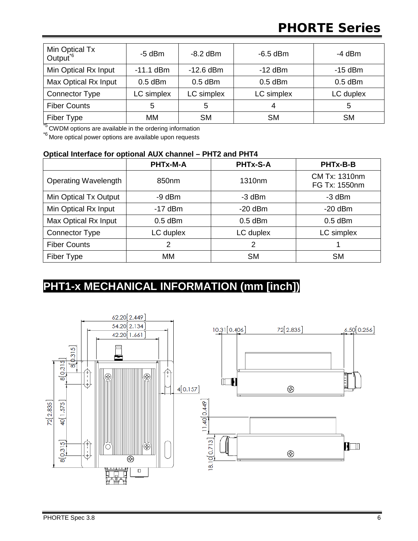# **PHORTE Series**

| Min Optical Tx<br>Output <sup>*6</sup> | $-5$ dBm    | $-8.2$ dBm  | $-6.5$ dBm | $-4$ dBm  |
|----------------------------------------|-------------|-------------|------------|-----------|
| Min Optical Rx Input                   | $-11.1$ dBm | $-12.6$ dBm | $-12$ dBm  | $-15$ dBm |
| Max Optical Rx Input                   | $0.5$ dBm   | $0.5$ dBm   | $0.5$ dBm  | $0.5$ dBm |
| <b>Connector Type</b>                  | LC simplex  | LC simplex  | LC simplex | LC duplex |
| <b>Fiber Counts</b>                    | 5           | 5           | 4          | 5         |
| Fiber Type                             | <b>MM</b>   | <b>SM</b>   | <b>SM</b>  | <b>SM</b> |

**F**<sub>5</sub> CWDM options are available in the ordering information

\*6 More optical power options are available upon requests

#### **Optical Interface for optional AUX channel – PHT2 and PHT4**

|                             | PHTx-M-A      | <b>PHTx-S-A</b>    | PHTx-B-B                       |
|-----------------------------|---------------|--------------------|--------------------------------|
| <b>Operating Wavelength</b> | 850nm         | 1310 <sub>nm</sub> | CM Tx: 1310nm<br>FG Tx: 1550nm |
| Min Optical Tx Output       | $-9$ dBm      | $-3$ dBm           | -3 dBm                         |
| Min Optical Rx Input        | $-17$ dBm     | $-20$ dBm          | $-20$ dBm                      |
| Max Optical Rx Input        | $0.5$ dBm     | $0.5$ dBm          | $0.5$ dBm                      |
| <b>Connector Type</b>       | LC duplex     | LC duplex          | LC simplex                     |
| <b>Fiber Counts</b>         | $\mathcal{P}$ | 2                  |                                |
| Fiber Type                  | MM            | <b>SM</b>          | <b>SM</b>                      |

### **PHT1-x MECHANICAL INFORMATION (mm [inch])**

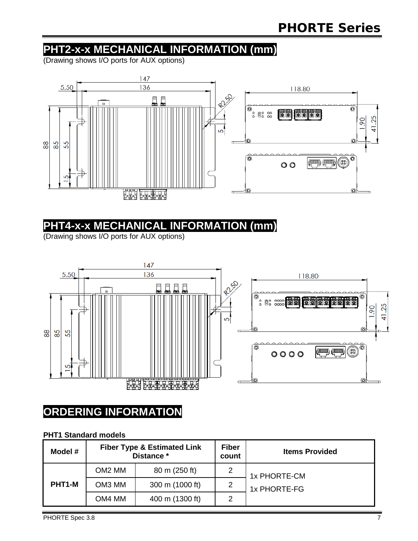### **PHT2-x-x MECHANICAL INFORMATION (mm)**

(Drawing shows I/O ports for AUX options)



### **PHT4-x-x MECHANICAL INFORMATION (mm)**

(Drawing shows I/O ports for AUX options)



### **ORDERING INFORMATION**

#### **PHT1 Standard models**

| Model # | <b>Fiber Type &amp; Estimated Link</b><br>Distance * |                 | <b>Fiber</b><br>count | <b>Items Provided</b> |
|---------|------------------------------------------------------|-----------------|-----------------------|-----------------------|
|         | OM <sub>2</sub> MM                                   | 80 m (250 ft)   |                       | 1x PHORTE-CM          |
| PHT1-M  | OM3 MM                                               | 300 m (1000 ft) | $\overline{2}$        | 1x PHORTE-FG          |
|         | OM4 MM                                               | 400 m (1300 ft) | 2                     |                       |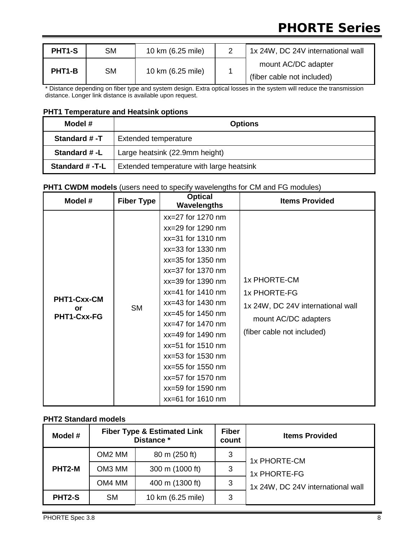# **PHORTE Series**

| <b>PHT1-S</b>                                        | <b>SM</b>                  | 10 km (6.25 mile)   | 1x 24W, DC 24V international wall |
|------------------------------------------------------|----------------------------|---------------------|-----------------------------------|
| <b>SM</b><br>10 km (6.25 mile)<br>PHT <sub>1-B</sub> |                            | mount AC/DC adapter |                                   |
|                                                      | (fiber cable not included) |                     |                                   |

\* Distance depending on fiber type and system design. Extra optical losses in the system will reduce the transmission distance. Longer link distance is available upon request.

#### **PHT1 Temperature and Heatsink options**

| Model #        | <b>Options</b>                           |
|----------------|------------------------------------------|
| Standard #-T   | <b>Extended temperature</b>              |
| Standard #-L   | Large heatsink (22.9mm height)           |
| Standard #-T-L | Extended temperature with large heatsink |

#### **PHT1 CWDM models** (users need to specify wavelengths for CM and FG modules)

| Model #                          | <b>Fiber Type</b> | <b>Optical</b><br><b>Wavelengths</b>                                                                                                                                                                                                                                                                                                                                                                         | <b>Items Provided</b>                                                                                                   |
|----------------------------------|-------------------|--------------------------------------------------------------------------------------------------------------------------------------------------------------------------------------------------------------------------------------------------------------------------------------------------------------------------------------------------------------------------------------------------------------|-------------------------------------------------------------------------------------------------------------------------|
| PHT1-Cxx-CM<br>or<br>PHT1-Cxx-FG | <b>SM</b>         | $xx=27$ for 1270 nm<br>xx=29 for 1290 nm<br>$xx=31$ for 1310 nm<br>$xx=33$ for 1330 nm<br>$xx=35$ for 1350 nm<br>xx=37 for 1370 nm<br>$xx=39$ for 1390 nm<br>$xx=41$ for 1410 nm<br>$xx=43$ for 1430 nm<br>xx=45 for 1450 nm<br>$xx=47$ for 1470 nm<br>$xx=49$ for 1490 nm<br>$xx=51$ for 1510 nm<br>xx=53 for 1530 nm<br>xx=55 for 1550 nm<br>xx=57 for 1570 nm<br>xx=59 for 1590 nm<br>$xx=61$ for 1610 nm | 1x PHORTE-CM<br>1x PHORTE-FG<br>1x 24W, DC 24V international wall<br>mount AC/DC adapters<br>(fiber cable not included) |

#### **PHT2 Standard models**

| Model # | <b>Fiber Type &amp; Estimated Link</b><br>Distance * |                   | <b>Fiber</b><br>count | <b>Items Provided</b>             |
|---------|------------------------------------------------------|-------------------|-----------------------|-----------------------------------|
|         | OM <sub>2</sub> MM                                   | 80 m (250 ft)     | 3                     | 1x PHORTE-CM                      |
| PHT2-M  | OM <sub>3</sub> MM                                   | 300 m (1000 ft)   | 3                     | 1x PHORTE-FG                      |
|         | OM4 MM                                               | 400 m (1300 ft)   | 3                     | 1x 24W, DC 24V international wall |
| PHT2-S  | <b>SM</b>                                            | 10 km (6.25 mile) | 3                     |                                   |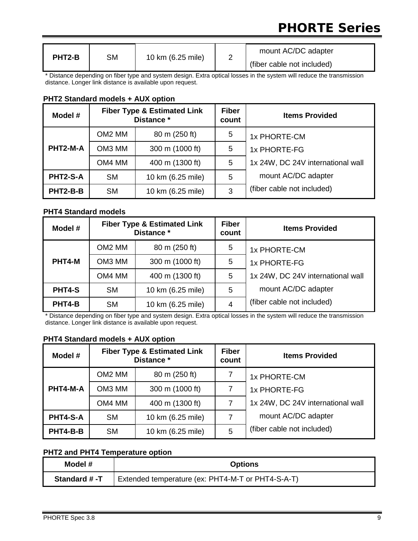# **PHORTE Series**

| PHT2-B | SM | 10 km (6.25 mile) |  | mount AC/DC adapter        |
|--------|----|-------------------|--|----------------------------|
|        |    |                   |  | (fiber cable not included) |

\* Distance depending on fiber type and system design. Extra optical losses in the system will reduce the transmission distance. Longer link distance is available upon request.

#### **PHT2 Standard models + AUX option**

| Model #  | <b>Fiber Type &amp; Estimated Link</b><br>Distance * |                   | <b>Fiber</b><br>count | <b>Items Provided</b>             |
|----------|------------------------------------------------------|-------------------|-----------------------|-----------------------------------|
|          | OM <sub>2</sub> MM                                   | 80 m (250 ft)     | 5                     | 1x PHORTE-CM                      |
| PHT2-M-A | OM3 MM                                               | 300 m (1000 ft)   | 5                     | 1x PHORTE-FG                      |
|          | OM4 MM                                               | 400 m (1300 ft)   | 5                     | 1x 24W, DC 24V international wall |
| PHT2-S-A | <b>SM</b>                                            | 10 km (6.25 mile) | 5                     | mount AC/DC adapter               |
| PHT2-B-B | <b>SM</b>                                            | 10 km (6.25 mile) | 3                     | (fiber cable not included)        |

#### **PHT4 Standard models**

| Model # | <b>Fiber Type &amp; Estimated Link</b><br>Distance * |                   | <b>Fiber</b><br>count | <b>Items Provided</b>             |
|---------|------------------------------------------------------|-------------------|-----------------------|-----------------------------------|
|         | OM <sub>2</sub> MM                                   | 80 m (250 ft)     | 5                     | 1x PHORTE-CM                      |
| PHT4-M  | OM3 MM                                               | 300 m (1000 ft)   | 5                     | 1x PHORTE-FG                      |
|         | OM4 MM                                               | 400 m (1300 ft)   | 5                     | 1x 24W, DC 24V international wall |
| PHT4-S  | <b>SM</b>                                            | 10 km (6.25 mile) | 5                     | mount AC/DC adapter               |
| PHT4-B  | <b>SM</b>                                            | 10 km (6.25 mile) | 4                     | (fiber cable not included)        |

\* Distance depending on fiber type and system design. Extra optical losses in the system will reduce the transmission distance. Longer link distance is available upon request.

#### **PHT4 Standard models + AUX option**

| Model #  | <b>Fiber Type &amp; Estimated Link</b><br>Distance * |                   | <b>Fiber</b><br>count | <b>Items Provided</b>             |
|----------|------------------------------------------------------|-------------------|-----------------------|-----------------------------------|
|          | OM <sub>2</sub> MM                                   | 80 m (250 ft)     |                       | 1x PHORTE-CM                      |
| PHT4-M-A | OM3 MM                                               | 300 m (1000 ft)   | 7                     | 1x PHORTE-FG                      |
|          | OM4 MM                                               | 400 m (1300 ft)   |                       | 1x 24W, DC 24V international wall |
| PHT4-S-A | <b>SM</b>                                            | 10 km (6.25 mile) | 7                     | mount AC/DC adapter               |
| PHT4-B-B | <b>SM</b>                                            | 10 km (6.25 mile) | 5                     | (fiber cable not included)        |

#### **PHT2 and PHT4 Temperature option**

| Model #      | <b>Options</b>                                    |  |
|--------------|---------------------------------------------------|--|
| Standard #-T | Extended temperature (ex: PHT4-M-T or PHT4-S-A-T) |  |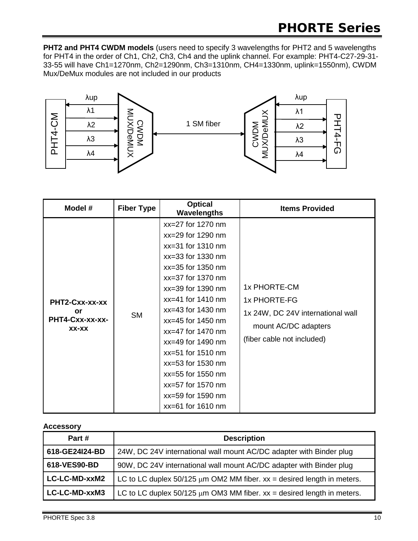**PHT2 and PHT4 CWDM models** (users need to specify 3 wavelengths for PHT2 and 5 wavelengths for PHT4 in the order of Ch1, Ch2, Ch3, Ch4 and the uplink channel. For example: PHT4-C27-29-31- 33-55 will have Ch1=1270nm, Ch2=1290nm, Ch3=1310nm, CH4=1330nm, uplink=1550nm), CWDM Mux/DeMux modules are not included in our products



| Model #                                          | <b>Fiber Type</b> | <b>Optical</b><br>Wavelengths                                                                                                                                                                                                                                                                                                                                                                                | <b>Items Provided</b>                                                                                                   |
|--------------------------------------------------|-------------------|--------------------------------------------------------------------------------------------------------------------------------------------------------------------------------------------------------------------------------------------------------------------------------------------------------------------------------------------------------------------------------------------------------------|-------------------------------------------------------------------------------------------------------------------------|
| PHT2-Cxx-xx-xx<br>or<br>PHT4-Cxx-xx-xx-<br>XX-XX | <b>SM</b>         | xx=27 for 1270 nm<br>xx=29 for 1290 nm<br>$xx=31$ for 1310 nm<br>$xx=33$ for 1330 nm<br>$xx=35$ for 1350 nm<br>$xx=37$ for 1370 nm<br>$xx=39$ for 1390 nm<br>$xx=41$ for 1410 nm<br>$xx=43$ for 1430 nm<br>$xx=45$ for 1450 nm<br>$xx=47$ for 1470 nm<br>xx=49 for 1490 nm<br>$xx=51$ for 1510 nm<br>xx=53 for 1530 nm<br>xx=55 for 1550 nm<br>xx=57 for 1570 nm<br>xx=59 for 1590 nm<br>$xx=61$ for 1610 nm | 1x PHORTE-CM<br>1x PHORTE-FG<br>1x 24W, DC 24V international wall<br>mount AC/DC adapters<br>(fiber cable not included) |

#### **Accessory**

| Part #         | <b>Description</b>                                                            |
|----------------|-------------------------------------------------------------------------------|
| 618-GE24I24-BD | 24W, DC 24V international wall mount AC/DC adapter with Binder plug           |
| 618-VES90-BD   | 90W, DC 24V international wall mount AC/DC adapter with Binder plug           |
| LC-LC-MD-xxM2  | LC to LC duplex $50/125 \mu m$ OM2 MM fiber. $xx =$ desired length in meters. |
| LC-LC-MD-xxM3  | LC to LC duplex $50/125 \mu m$ OM3 MM fiber. $xx =$ desired length in meters. |